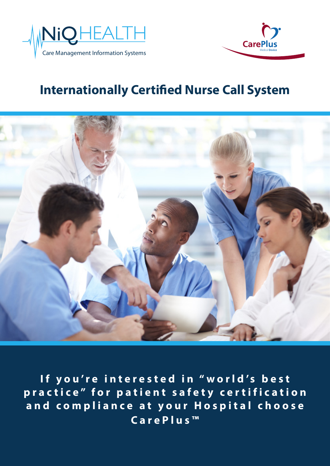



# **Internationally Certified Nurse Call System**



If you're interested in "world's best practice" for patient safety certification and compliance at your Hospital choose **C a r e P l u s ™**